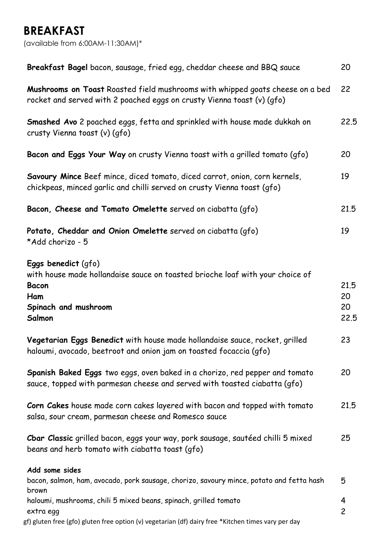# **BREAKFAST**

(available from 6:00AM-11:30AM)\*

| Breakfast Bagel bacon, sausage, fried egg, cheddar cheese and BBQ sauce                                                                                       | 20                       |
|---------------------------------------------------------------------------------------------------------------------------------------------------------------|--------------------------|
| Mushrooms on Toast Roasted field mushrooms with whipped goats cheese on a bed<br>rocket and served with 2 poached eggs on crusty Vienna toast (v) (gfo)       | 22                       |
| Smashed Avo 2 poached eggs, fetta and sprinkled with house made dukkah on<br>crusty Vienna toast (v) (gfo)                                                    | 22.5                     |
| Bacon and Eggs Your Way on crusty Vienna toast with a grilled tomato (gfo)                                                                                    | 20                       |
| Savoury Mince Beef mince, diced tomato, diced carrot, onion, corn kernels,<br>chickpeas, minced garlic and chilli served on crusty Vienna toast (gfo)         | 19                       |
| Bacon, Cheese and Tomato Omelette served on ciabatta (gfo)                                                                                                    | 21.5                     |
| Potato, Cheddar and Onion Omelette served on ciabatta (gfo)<br>*Add chorizo - 5                                                                               | 19                       |
| Eggs benedict (gfo)<br>with house made hollandaise sauce on toasted brioche loaf with your choice of<br><b>Bacon</b><br>Ham<br>Spinach and mushroom<br>Salmon | 21.5<br>20<br>20<br>22.5 |
| Vegetarian Eggs Benedict with house made hollandaise sauce, rocket, grilled<br>haloumi, avocado, beetroot and onion jam on toasted focaccia (gfo)             | 23                       |
| Spanish Baked Eggs two eggs, oven baked in a chorizo, red pepper and tomato<br>sauce, topped with parmesan cheese and served with toasted ciabatta (gfo)      | 20                       |
| Corn Cakes house made corn cakes layered with bacon and topped with tomato<br>salsa, sour cream, parmesan cheese and Romesco sauce                            | 21.5                     |
| Cbar Classic grilled bacon, eggs your way, pork sausage, sautéed chilli 5 mixed<br>beans and herb tomato with ciabatta toast (gfo)                            | 25                       |
| Add some sides<br>bacon, salmon, ham, avocado, pork sausage, chorizo, savoury mince, potato and fetta hash                                                    | 5                        |
| brown                                                                                                                                                         |                          |
| haloumi, mushrooms, chili 5 mixed beans, spinach, grilled tomato<br>extra egg                                                                                 | 4<br>$\overline{c}$      |
| gf) gluten free (gfo) gluten free option (v) vegetarian (df) dairy free *Kitchen times vary per day                                                           |                          |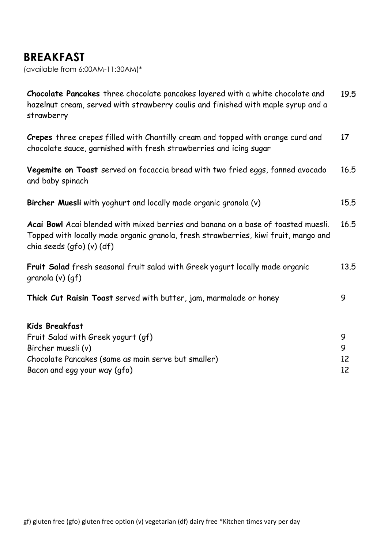# **BREAKFAST**

(available from 6:00AM-11:30AM)\*

**Chocolate Pancakes** three chocolate pancakes layered with a white chocolate and hazelnut cream, served with strawberry coulis and finished with maple syrup and a strawberry 19.5

**Crepes** three crepes filled with Chantilly cream and topped with orange curd and chocolate sauce, garnished with fresh strawberries and icing sugar 17

**Vegemite on Toast** served on focaccia bread with two fried eggs, fanned avocado and baby spinach 16.5

**Bircher Muesli** with yoghurt and locally made organic granola (v) 15.5

**Acai Bowl** Acai blended with mixed berries and banana on a base of toasted muesli. Topped with locally made organic granola, fresh strawberries, kiwi fruit, mango and chia seeds (gfo) (v) (df) 16.5

**Fruit Salad** fresh seasonal fruit salad with Greek yogurt locally made organic granola (v) (gf) 13.5

**Thick Cut Raisin Toast** served with butter, jam, marmalade or honey 9

#### **Kids Breakfast**

| Fruit Salad with Greek yogurt (gf)                  |    |
|-----------------------------------------------------|----|
| Bircher muesli (v)                                  |    |
| Chocolate Pancakes (same as main serve but smaller) | 12 |
| Bacon and egg your way (qfo)                        |    |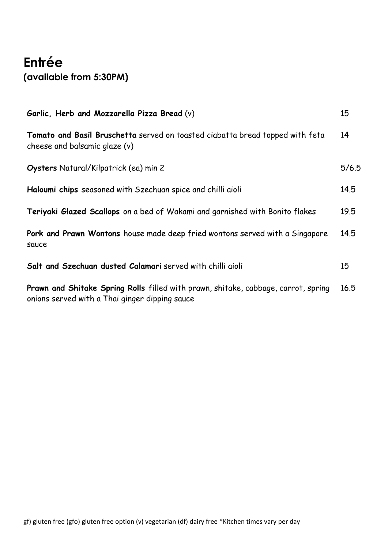# **Entrée (available from 5:30PM)**

| Garlic, Herb and Mozzarella Pizza Bread (v)                                                                                          | 15    |
|--------------------------------------------------------------------------------------------------------------------------------------|-------|
| Tomato and Basil Bruschetta served on toasted ciabatta bread topped with feta<br>cheese and balsamic glaze (v)                       | 14    |
| Oysters Natural/Kilpatrick (ea) min 2                                                                                                | 5/6.5 |
| Haloumi chips seasoned with Szechuan spice and chilli aioli                                                                          | 14.5  |
| Teriyaki Glazed Scallops on a bed of Wakami and garnished with Bonito flakes                                                         | 19.5  |
| Pork and Prawn Wontons house made deep fried wontons served with a Singapore<br>sauce                                                | 14.5  |
| Salt and Szechuan dusted Calamari served with chilli aioli                                                                           | 15    |
| Prawn and Shitake Spring Rolls filled with prawn, shitake, cabbage, carrot, spring<br>onions served with a Thai ginger dipping sauce | 16.5  |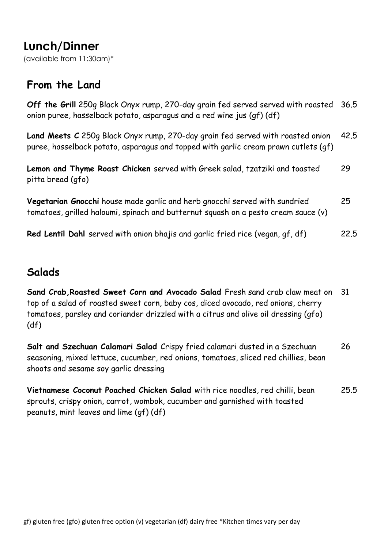# **Lunch/Dinner**

(available from 11:30am)\*

#### **From the Land**

**Off the Grill** 250g Black Onyx rump, 270-day grain fed served served with roasted onion puree, hasselback potato, asparagus and a red wine jus (gf) (df) 36.5

**Land Meets C** 250g Black Onyx rump, 270-day grain fed served with roasted onion puree, hasselback potato, asparagus and topped with garlic cream prawn cutlets (gf) 42.5

**Lemon and Thyme Roast Chicken** served with Greek salad, tzatziki and toasted pitta bread (gfo) 29

**Vegetarian Gnocchi** house made garlic and herb gnocchi served with sundried tomatoes, grilled haloumi, spinach and butternut squash on a pesto cream sauce (v) 25

**Red Lentil Dahl** served with onion bhajis and garlic fried rice (vegan, gf, df) 22.5

#### **Salads**

**Sand Crab,Roasted Sweet Corn and Avocado Salad** Fresh sand crab claw meat on top of a salad of roasted sweet corn, baby cos, diced avocado, red onions, cherry tomatoes, parsley and coriander drizzled with a citrus and olive oil dressing (gfo) (df) 31

**Salt and Szechuan Calamari Salad** Crispy fried calamari dusted in a Szechuan seasoning, mixed lettuce, cucumber, red onions, tomatoes, sliced red chillies, bean shoots and sesame soy garlic dressing 26

**Vietnamese Coconut Poached Chicken Salad** with rice noodles, red chilli, bean sprouts, crispy onion, carrot, wombok, cucumber and garnished with toasted peanuts, mint leaves and lime (gf) (df) 25.5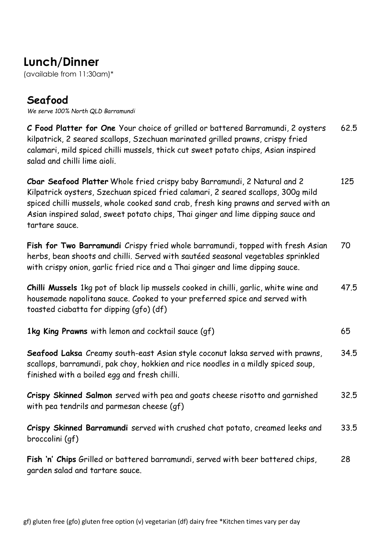# **Lunch/Dinner**

(available from 11:30am)\*

### **Seafood**

*We serve 100% North QLD Barramundi*

**C Food Platter for One** Your choice of grilled or battered Barramundi, 2 oysters kilpatrick, 2 seared scallops, Szechuan marinated grilled prawns, crispy fried calamari, mild spiced chilli mussels, thick cut sweet potato chips, Asian inspired salad and chilli lime aioli. 62.5

**Cbar Seafood Platter** Whole fried crispy baby Barramundi, 2 Natural and 2 Kilpatrick oysters, Szechuan spiced fried calamari, 2 seared scallops, 300g mild spiced chilli mussels, whole cooked sand crab, fresh king prawns and served with an Asian inspired salad, sweet potato chips, Thai ginger and lime dipping sauce and tartare sauce. 125

**Fish for Two Barramundi** Crispy fried whole barramundi, topped with fresh Asian herbs, bean shoots and chilli. Served with sautéed seasonal vegetables sprinkled with crispy onion, garlic fried rice and a Thai ginger and lime dipping sauce. 70

**Chilli Mussels** 1kg pot of black lip mussels cooked in chilli, garlic, white wine and housemade napolitana sauce. Cooked to your preferred spice and served with toasted ciabatta for dipping (gfo) (df) 47.5

|  |  | 1kg King Prawns with lemon and cocktail sauce (gf) |  |
|--|--|----------------------------------------------------|--|
|--|--|----------------------------------------------------|--|

**Seafood Laksa** Creamy south-east Asian style coconut laksa served with prawns, scallops, barramundi, pak choy, hokkien and rice noodles in a mildly spiced soup, finished with a boiled egg and fresh chilli. 34.5

**Crispy Skinned Salmon** served with pea and goats cheese risotto and garnished with pea tendrils and parmesan cheese (gf) 32.5

**Crispy Skinned Barramundi** served with crushed chat potato, creamed leeks and broccolini (gf) 33.5

**Fish 'n' Chips** Grilled or battered barramundi, served with beer battered chips, garden salad and tartare sauce. 28